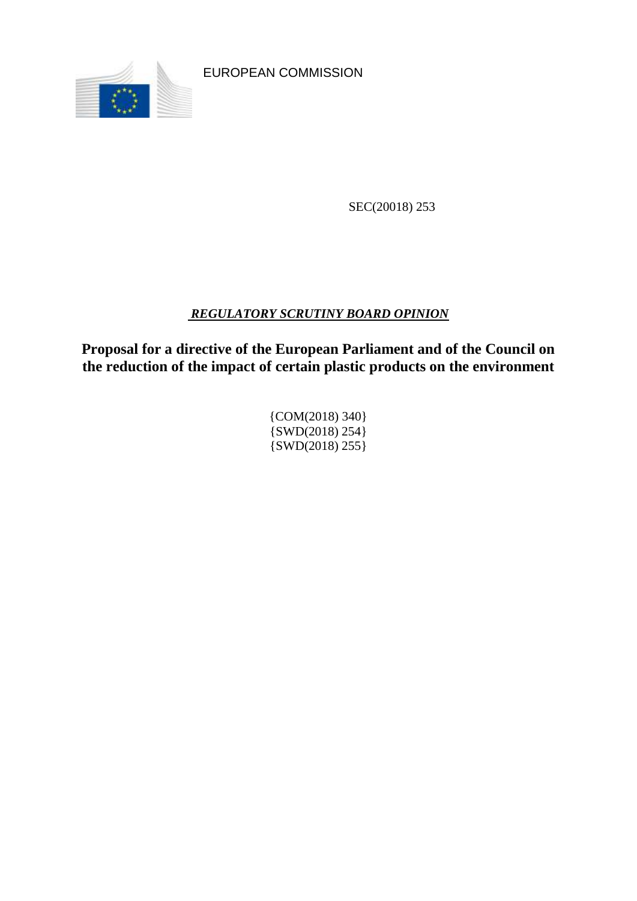

EUROPEAN COMMISSION

SEC(20018) 253

# *REGULATORY SCRUTINY BOARD OPINION*

**Proposal for a directive of the European Parliament and of the Council on the reduction of the impact of certain plastic products on the environment**

> {COM(2018) 340}  $\{SWD(2018) 254\}$ {SWD(2018) 255}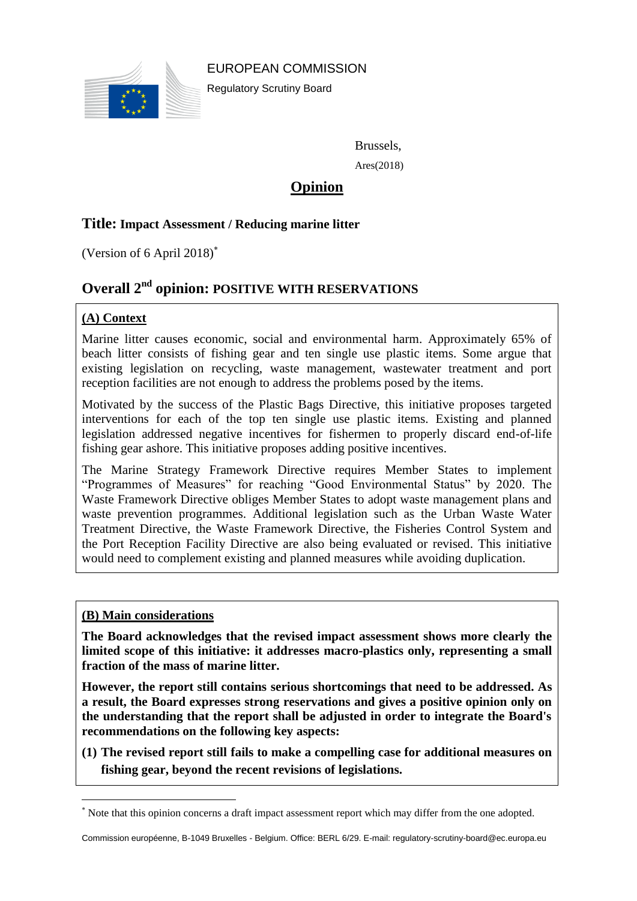

Regulatory Scrutiny Board



Brussels,

Ares(2018)

# **Opinion**

# **Title: Impact Assessment / Reducing marine litter**

(Version of 6 April 2018)

# **Overall 2 nd opinion: POSITIVE WITH RESERVATIONS**

## **(A) Context**

Marine litter causes economic, social and environmental harm. Approximately 65% of beach litter consists of fishing gear and ten single use plastic items. Some argue that existing legislation on recycling, waste management, wastewater treatment and port reception facilities are not enough to address the problems posed by the items.

Motivated by the success of the Plastic Bags Directive, this initiative proposes targeted interventions for each of the top ten single use plastic items. Existing and planned legislation addressed negative incentives for fishermen to properly discard end-of-life fishing gear ashore. This initiative proposes adding positive incentives.

The Marine Strategy Framework Directive requires Member States to implement "Programmes of Measures" for reaching "Good Environmental Status" by 2020. The Waste Framework Directive obliges Member States to adopt waste management plans and waste prevention programmes. Additional legislation such as the Urban Waste Water Treatment Directive, the Waste Framework Directive, the Fisheries Control System and the Port Reception Facility Directive are also being evaluated or revised. This initiative would need to complement existing and planned measures while avoiding duplication.

#### **(B) Main considerations**

 $\overline{a}$ 

**The Board acknowledges that the revised impact assessment shows more clearly the limited scope of this initiative: it addresses macro-plastics only, representing a small fraction of the mass of marine litter.**

**However, the report still contains serious shortcomings that need to be addressed. As a result, the Board expresses strong reservations and gives a positive opinion only on the understanding that the report shall be adjusted in order to integrate the Board's recommendations on the following key aspects:**

**(1) The revised report still fails to make a compelling case for additional measures on fishing gear, beyond the recent revisions of legislations.**

Note that this opinion concerns a draft impact assessment report which may differ from the one adopted.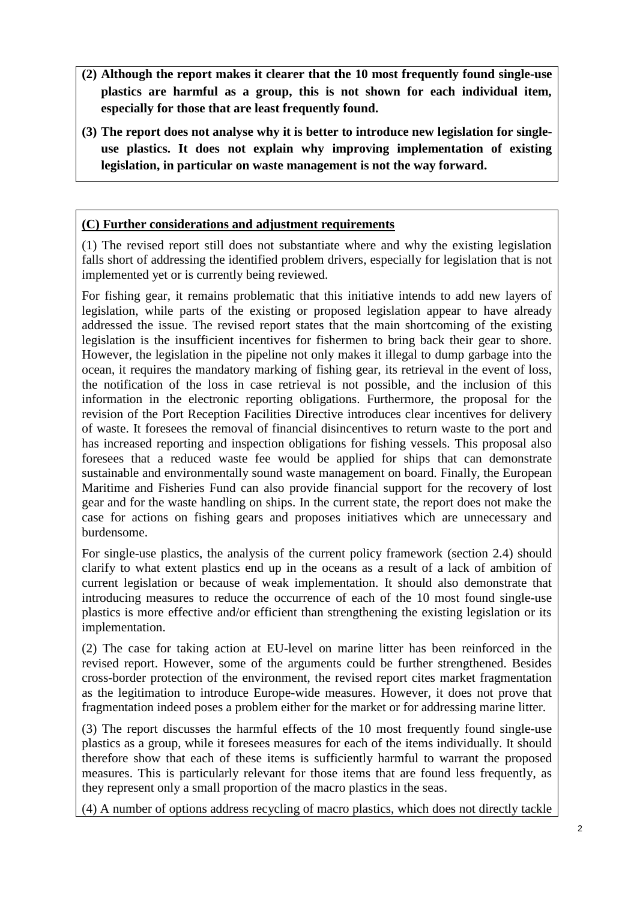- **(2) Although the report makes it clearer that the 10 most frequently found single-use plastics are harmful as a group, this is not shown for each individual item, especially for those that are least frequently found.**
- **(3) The report does not analyse why it is better to introduce new legislation for singleuse plastics. It does not explain why improving implementation of existing legislation, in particular on waste management is not the way forward.**

# **(C) Further considerations and adjustment requirements**

(1) The revised report still does not substantiate where and why the existing legislation falls short of addressing the identified problem drivers, especially for legislation that is not implemented yet or is currently being reviewed.

For fishing gear, it remains problematic that this initiative intends to add new layers of legislation, while parts of the existing or proposed legislation appear to have already addressed the issue. The revised report states that the main shortcoming of the existing legislation is the insufficient incentives for fishermen to bring back their gear to shore. However, the legislation in the pipeline not only makes it illegal to dump garbage into the ocean, it requires the mandatory marking of fishing gear, its retrieval in the event of loss, the notification of the loss in case retrieval is not possible, and the inclusion of this information in the electronic reporting obligations. Furthermore, the proposal for the revision of the Port Reception Facilities Directive introduces clear incentives for delivery of waste. It foresees the removal of financial disincentives to return waste to the port and has increased reporting and inspection obligations for fishing vessels. This proposal also foresees that a reduced waste fee would be applied for ships that can demonstrate sustainable and environmentally sound waste management on board. Finally, the European Maritime and Fisheries Fund can also provide financial support for the recovery of lost gear and for the waste handling on ships. In the current state, the report does not make the case for actions on fishing gears and proposes initiatives which are unnecessary and burdensome.

For single-use plastics, the analysis of the current policy framework (section 2.4) should clarify to what extent plastics end up in the oceans as a result of a lack of ambition of current legislation or because of weak implementation. It should also demonstrate that introducing measures to reduce the occurrence of each of the 10 most found single-use plastics is more effective and/or efficient than strengthening the existing legislation or its implementation.

(2) The case for taking action at EU-level on marine litter has been reinforced in the revised report. However, some of the arguments could be further strengthened. Besides cross-border protection of the environment, the revised report cites market fragmentation as the legitimation to introduce Europe-wide measures. However, it does not prove that fragmentation indeed poses a problem either for the market or for addressing marine litter.

(3) The report discusses the harmful effects of the 10 most frequently found single-use plastics as a group, while it foresees measures for each of the items individually. It should therefore show that each of these items is sufficiently harmful to warrant the proposed measures. This is particularly relevant for those items that are found less frequently, as they represent only a small proportion of the macro plastics in the seas.

(4) A number of options address recycling of macro plastics, which does not directly tackle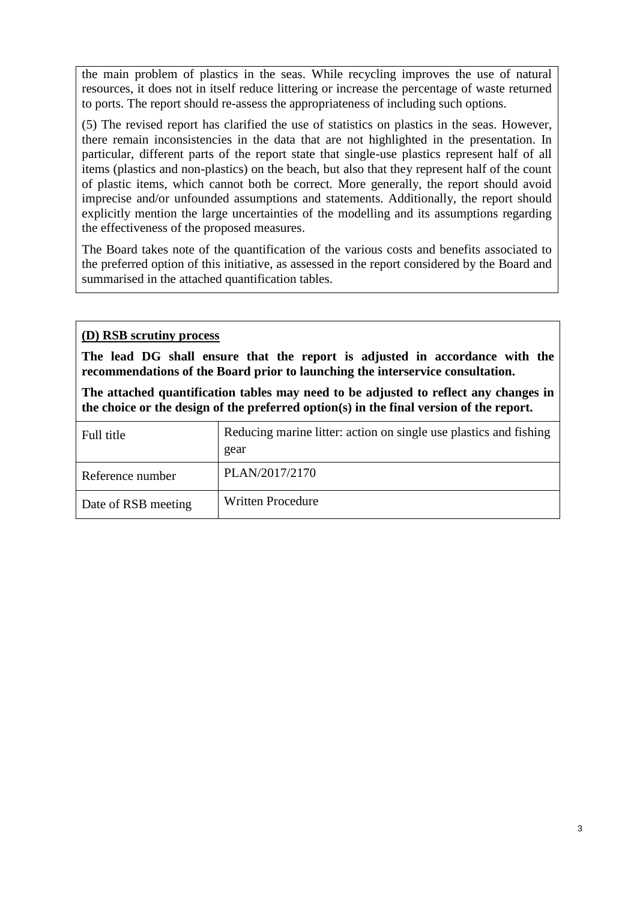the main problem of plastics in the seas. While recycling improves the use of natural resources, it does not in itself reduce littering or increase the percentage of waste returned to ports. The report should re-assess the appropriateness of including such options.

(5) The revised report has clarified the use of statistics on plastics in the seas. However, there remain inconsistencies in the data that are not highlighted in the presentation. In particular, different parts of the report state that single-use plastics represent half of all items (plastics and non-plastics) on the beach, but also that they represent half of the count of plastic items, which cannot both be correct. More generally, the report should avoid imprecise and/or unfounded assumptions and statements. Additionally, the report should explicitly mention the large uncertainties of the modelling and its assumptions regarding the effectiveness of the proposed measures.

The Board takes note of the quantification of the various costs and benefits associated to the preferred option of this initiative, as assessed in the report considered by the Board and summarised in the attached quantification tables.

### **(D) RSB scrutiny process**

**The lead DG shall ensure that the report is adjusted in accordance with the recommendations of the Board prior to launching the interservice consultation.**

**The attached quantification tables may need to be adjusted to reflect any changes in the choice or the design of the preferred option(s) in the final version of the report.**

| Full title          | Reducing marine litter: action on single use plastics and fishing<br>gear |
|---------------------|---------------------------------------------------------------------------|
| Reference number    | PLAN/2017/2170                                                            |
| Date of RSB meeting | <b>Written Procedure</b>                                                  |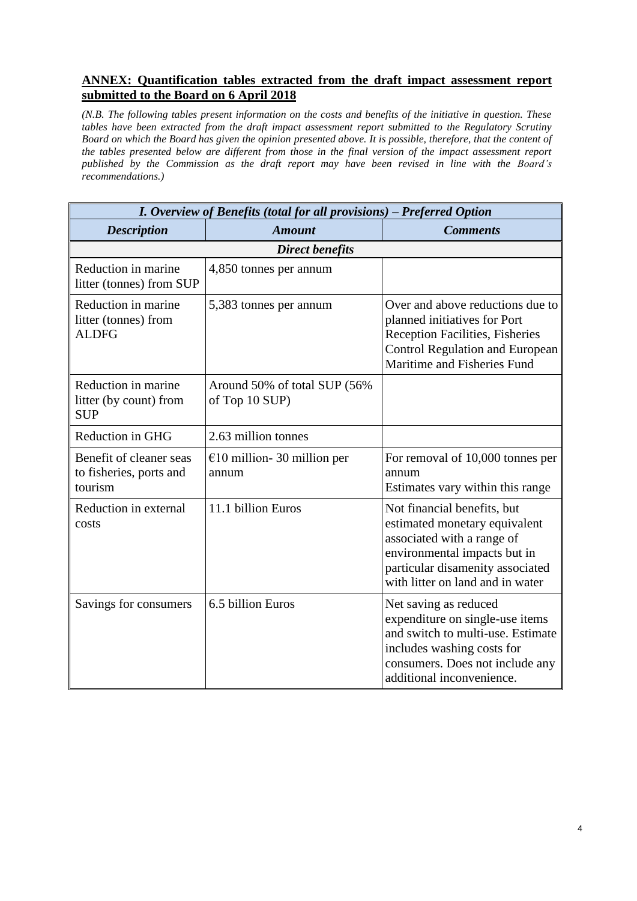### **ANNEX: Quantification tables extracted from the draft impact assessment report submitted to the Board on 6 April 2018**

*(N.B. The following tables present information on the costs and benefits of the initiative in question. These tables have been extracted from the draft impact assessment report submitted to the Regulatory Scrutiny Board on which the Board has given the opinion presented above. It is possible, therefore, that the content of the tables presented below are different from those in the final version of the impact assessment report published by the Commission as the draft report may have been revised in line with the Board's recommendations.)*

| I. Overview of Benefits (total for all provisions) - Preferred Option |                                                 |                                                                                                                                                                                                    |  |  |  |  |  |
|-----------------------------------------------------------------------|-------------------------------------------------|----------------------------------------------------------------------------------------------------------------------------------------------------------------------------------------------------|--|--|--|--|--|
| <b>Description</b>                                                    | <b>Amount</b>                                   | <b>Comments</b>                                                                                                                                                                                    |  |  |  |  |  |
| <b>Direct benefits</b>                                                |                                                 |                                                                                                                                                                                                    |  |  |  |  |  |
| Reduction in marine<br>litter (tonnes) from SUP                       | 4,850 tonnes per annum                          |                                                                                                                                                                                                    |  |  |  |  |  |
| Reduction in marine<br>litter (tonnes) from<br><b>ALDFG</b>           | 5,383 tonnes per annum                          | Over and above reductions due to<br>planned initiatives for Port<br>Reception Facilities, Fisheries<br><b>Control Regulation and European</b><br>Maritime and Fisheries Fund                       |  |  |  |  |  |
| Reduction in marine<br>litter (by count) from<br><b>SUP</b>           | Around 50% of total SUP (56%)<br>of Top 10 SUP) |                                                                                                                                                                                                    |  |  |  |  |  |
| Reduction in GHG                                                      | 2.63 million tonnes                             |                                                                                                                                                                                                    |  |  |  |  |  |
| Benefit of cleaner seas<br>to fisheries, ports and<br>tourism         | €10 million - 30 million per<br>annum           | For removal of 10,000 tonnes per<br>annum<br>Estimates vary within this range                                                                                                                      |  |  |  |  |  |
| Reduction in external<br>costs                                        | 11.1 billion Euros                              | Not financial benefits, but<br>estimated monetary equivalent<br>associated with a range of<br>environmental impacts but in<br>particular disamenity associated<br>with litter on land and in water |  |  |  |  |  |
| Savings for consumers                                                 | 6.5 billion Euros                               | Net saving as reduced<br>expenditure on single-use items<br>and switch to multi-use. Estimate<br>includes washing costs for<br>consumers. Does not include any<br>additional inconvenience.        |  |  |  |  |  |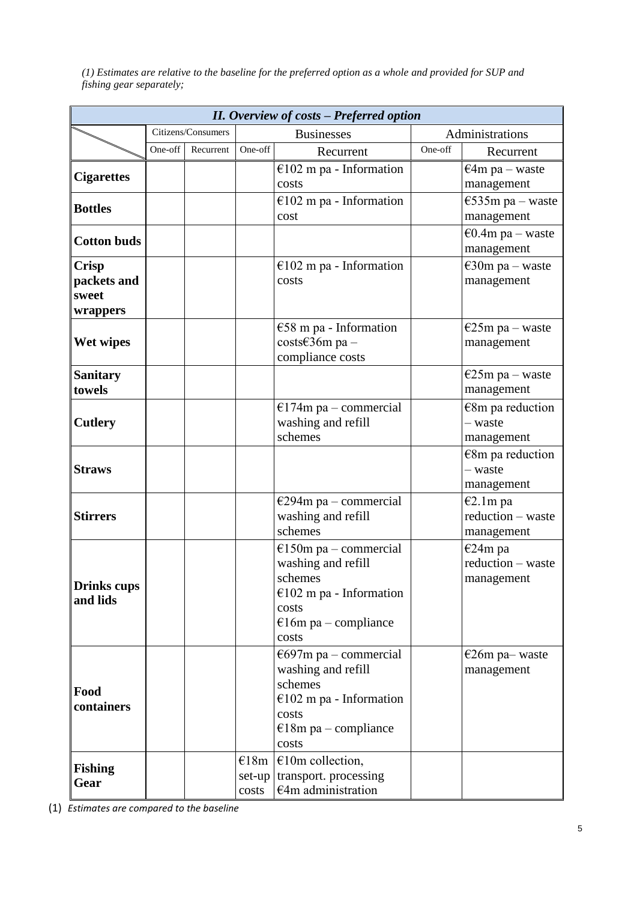*(1) Estimates are relative to the baseline for the preferred option as a whole and provided for SUP and fishing gear separately;* 

| <b>II.</b> Overview of costs - Preferred option  |         |                    |                                     |                                                                                                                                         |         |                                             |  |
|--------------------------------------------------|---------|--------------------|-------------------------------------|-----------------------------------------------------------------------------------------------------------------------------------------|---------|---------------------------------------------|--|
|                                                  |         | Citizens/Consumers |                                     | <b>Businesses</b>                                                                                                                       |         | Administrations                             |  |
|                                                  | One-off | Recurrent          | One-off                             | Recurrent                                                                                                                               | One-off | Recurrent                                   |  |
| <b>Cigarettes</b>                                |         |                    |                                     | €102 m pa - Information<br>costs                                                                                                        |         | $€4m$ pa – waste<br>management              |  |
| <b>Bottles</b>                                   |         |                    |                                     | €102 m pa - Information<br>cost                                                                                                         |         | $\epsilon$ 535m pa – waste<br>management    |  |
| <b>Cotton buds</b>                               |         |                    |                                     |                                                                                                                                         |         | €0.4m pa – waste<br>management              |  |
| <b>Crisp</b><br>packets and<br>sweet<br>wrappers |         |                    |                                     | €102 m pa - Information<br>costs                                                                                                        |         | $\epsilon$ 30m pa – waste<br>management     |  |
| Wet wipes                                        |         |                    |                                     | €58 m pa - Information<br>costs€36m pa -<br>compliance costs                                                                            |         | $E25m$ pa – waste<br>management             |  |
| <b>Sanitary</b><br>towels                        |         |                    |                                     |                                                                                                                                         |         | $E25m$ pa – waste<br>management             |  |
| <b>Cutlery</b>                                   |         |                    |                                     | $E174m$ pa – commercial<br>washing and refill<br>schemes                                                                                |         | €8m pa reduction<br>- waste<br>management   |  |
| <b>Straws</b>                                    |         |                    |                                     |                                                                                                                                         |         | $€8m$ pa reduction<br>- waste<br>management |  |
| <b>Stirrers</b>                                  |         |                    |                                     | €294m pa – commercial<br>washing and refill<br>schemes                                                                                  |         | €2.1m pa<br>reduction - waste<br>management |  |
| <b>Drinks</b> cups<br>and lids                   |         |                    |                                     | $E150m$ pa – commercial<br>washing and refill<br>schemes<br>€102 m pa - Information<br>costs<br>$\epsilon$ 16m pa – compliance<br>costs |         | €24m pa<br>reduction - waste<br>management  |  |
| Food<br>containers                               |         |                    |                                     | $\epsilon$ 697m pa – commercial<br>washing and refill<br>schemes<br>€102 m pa - Information<br>costs<br>$E18m$ pa – compliance<br>costs |         | €26m pa- waste<br>management                |  |
| <b>Fishing</b><br>Gear                           |         |                    | $\epsilon$ 18m<br>$set-up$<br>costs | $€10m$ collection,<br>transport. processing<br>$€4m$ administration                                                                     |         |                                             |  |

(1) *Estimates are compared to the baseline*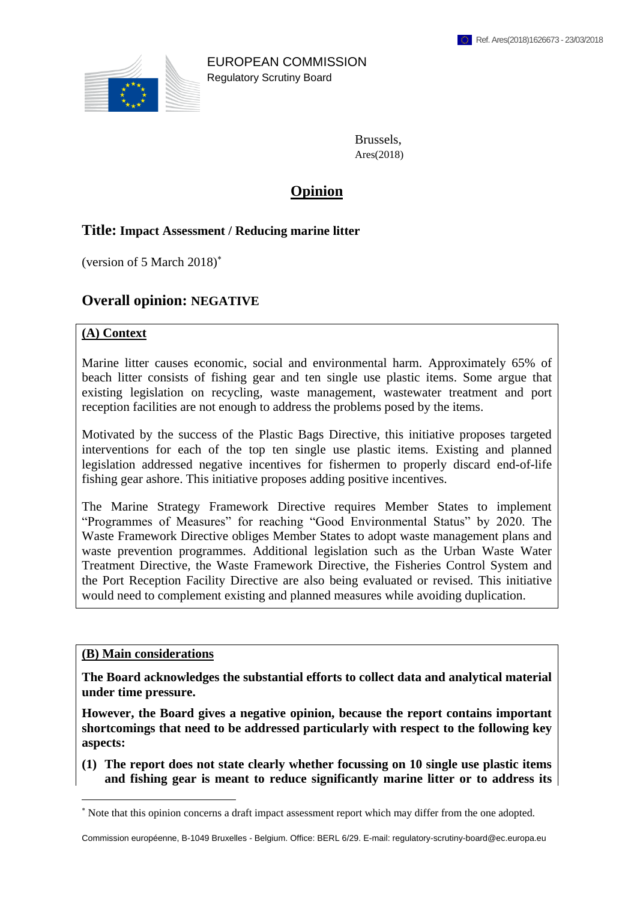

EUROPEAN COMMISSION Regulatory Scrutiny Board

> Brussels, Ares(2018)

# **Opinion**

### **Title: Impact Assessment / Reducing marine litter**

(version of 5 March 2018)

# **Overall opinion: NEGATIVE**

#### **(A) Context**

Marine litter causes economic, social and environmental harm. Approximately 65% of beach litter consists of fishing gear and ten single use plastic items. Some argue that existing legislation on recycling, waste management, wastewater treatment and port reception facilities are not enough to address the problems posed by the items.

Motivated by the success of the Plastic Bags Directive, this initiative proposes targeted interventions for each of the top ten single use plastic items. Existing and planned legislation addressed negative incentives for fishermen to properly discard end-of-life fishing gear ashore. This initiative proposes adding positive incentives.

The Marine Strategy Framework Directive requires Member States to implement "Programmes of Measures" for reaching "Good Environmental Status" by 2020. The Waste Framework Directive obliges Member States to adopt waste management plans and waste prevention programmes. Additional legislation such as the Urban Waste Water Treatment Directive, the Waste Framework Directive, the Fisheries Control System and the Port Reception Facility Directive are also being evaluated or revised. This initiative would need to complement existing and planned measures while avoiding duplication.

#### **(B) Main considerations**

1

**The Board acknowledges the substantial efforts to collect data and analytical material under time pressure.** 

**However, the Board gives a negative opinion, because the report contains important shortcomings that need to be addressed particularly with respect to the following key aspects:**

**(1) The report does not state clearly whether focussing on 10 single use plastic items and fishing gear is meant to reduce significantly marine litter or to address its** 

Commission européenne, B-1049 Bruxelles - Belgium. Office: BERL 6/29. E-mail: regulatory-scrutiny-board@ec.europa.eu

Note that this opinion concerns a draft impact assessment report which may differ from the one adopted.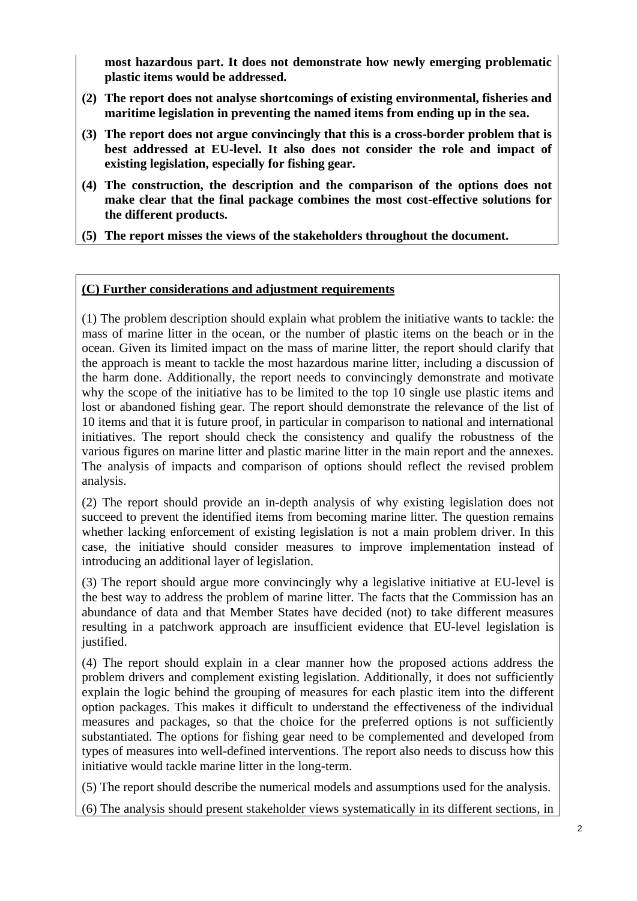**most hazardous part. It does not demonstrate how newly emerging problematic plastic items would be addressed.** 

- **(2) The report does not analyse shortcomings of existing environmental, fisheries and maritime legislation in preventing the named items from ending up in the sea.**
- **(3) The report does not argue convincingly that this is a cross-border problem that is best addressed at EU-level. It also does not consider the role and impact of existing legislation, especially for fishing gear.**
- **(4) The construction, the description and the comparison of the options does not make clear that the final package combines the most cost-effective solutions for the different products.**
- **(5) The report misses the views of the stakeholders throughout the document.**

## **(C) Further considerations and adjustment requirements**

(1) The problem description should explain what problem the initiative wants to tackle: the mass of marine litter in the ocean, or the number of plastic items on the beach or in the ocean. Given its limited impact on the mass of marine litter, the report should clarify that the approach is meant to tackle the most hazardous marine litter, including a discussion of the harm done. Additionally, the report needs to convincingly demonstrate and motivate why the scope of the initiative has to be limited to the top 10 single use plastic items and lost or abandoned fishing gear. The report should demonstrate the relevance of the list of 10 items and that it is future proof, in particular in comparison to national and international initiatives. The report should check the consistency and qualify the robustness of the various figures on marine litter and plastic marine litter in the main report and the annexes. The analysis of impacts and comparison of options should reflect the revised problem analysis.

(2) The report should provide an in-depth analysis of why existing legislation does not succeed to prevent the identified items from becoming marine litter. The question remains whether lacking enforcement of existing legislation is not a main problem driver. In this case, the initiative should consider measures to improve implementation instead of introducing an additional layer of legislation.

(3) The report should argue more convincingly why a legislative initiative at EU-level is the best way to address the problem of marine litter. The facts that the Commission has an abundance of data and that Member States have decided (not) to take different measures resulting in a patchwork approach are insufficient evidence that EU-level legislation is justified.

(4) The report should explain in a clear manner how the proposed actions address the problem drivers and complement existing legislation. Additionally, it does not sufficiently explain the logic behind the grouping of measures for each plastic item into the different option packages. This makes it difficult to understand the effectiveness of the individual measures and packages, so that the choice for the preferred options is not sufficiently substantiated. The options for fishing gear need to be complemented and developed from types of measures into well-defined interventions. The report also needs to discuss how this initiative would tackle marine litter in the long-term.

(5) The report should describe the numerical models and assumptions used for the analysis.

(6) The analysis should present stakeholder views systematically in its different sections, in